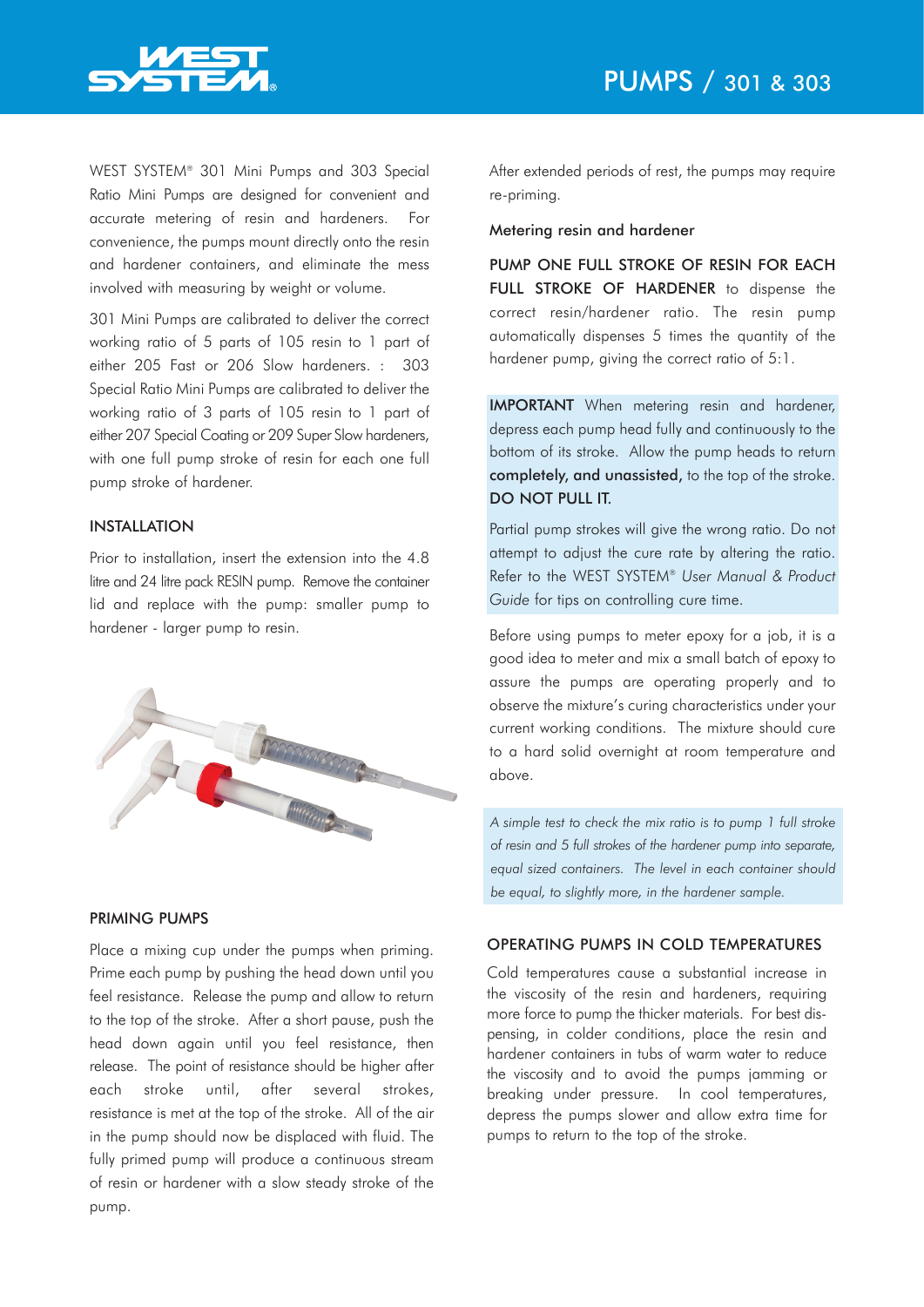

WEST SYSTEM® 301 Mini Pumps and 303 Special Ratio Mini Pumps are designed for convenient and accurate metering of resin and hardeners. For convenience, the pumps mount directly onto the resin and hardener containers, and eliminate the mess involved with measuring by weight or volume.

301 Mini Pumps are calibrated to deliver the correct working ratio of 5 parts of 105 resin to 1 part of either 205 Fast or 206 Slow hardeners. : 303 Special Ratio Mini Pumps are calibrated to deliver the working ratio of 3 parts of 105 resin to 1 part of either 207 Special Coating or 209 Super Slow hardeners, with one full pump stroke of resin for each one full pump stroke of hardener.

# INSTALLATION

Prior to installation, insert the extension into the 4.8 litre and 24 litre pack RESIN pump. Remove the container lid and replace with the pump: smaller pump to hardener - larger pump to resin.



### PRIMING PUMPS

Place a mixing cup under the pumps when priming. Prime each pump by pushing the head down until you feel resistance. Release the pump and allow to return to the top of the stroke. After a short pause, push the head down again until you feel resistance, then release. The point of resistance should be higher after each stroke until, after several strokes, resistance is met at the top of the stroke. All of the air in the pump should now be displaced with fluid. The fully primed pump will produce a continuous stream of resin or hardener with a slow steady stroke of the pump.

After extended periods of rest, the pumps may require re-priming.

#### Metering resin and hardener

PUMP ONE FULL STROKE OF RESIN FOR EACH FULL STROKE OF HARDENER to dispense the correct resin/hardener ratio. The resin pump automatically dispenses 5 times the quantity of the hardener pump, giving the correct ratio of 5:1.

IMPORTANT When metering resin and hardener, depress each pump head fully and continuously to the bottom of its stroke. Allow the pump heads to return completely, and unassisted, to the top of the stroke. DO NOT PULL IT.

Partial pump strokes will give the wrong ratio. Do not attempt to adjust the cure rate by altering the ratio. Refer to the WEST SYSTEM® *User Manual & Product Guide* for tips on controlling cure time.

Before using pumps to meter epoxy for a job, it is a good idea to meter and mix a small batch of epoxy to assure the pumps are operating properly and to observe the mixture's curing characteristics under your current working conditions. The mixture should cure to a hard solid overnight at room temperature and above.

*A simple test to check the mix ratio is to pump 1 full stroke of resin and 5 full strokes of the hardener pump into separate, equal sized containers. The level in each container should be equal, to slightly more, in the hardener sample.*

## OPERATING PUMPS IN COLD TEMPERATURES

Cold temperatures cause a substantial increase in the viscosity of the resin and hardeners, requiring more force to pump the thicker materials. For best dispensing, in colder conditions, place the resin and hardener containers in tubs of warm water to reduce the viscosity and to avoid the pumps jamming or breaking under pressure. In cool temperatures, depress the pumps slower and allow extra time for pumps to return to the top of the stroke.